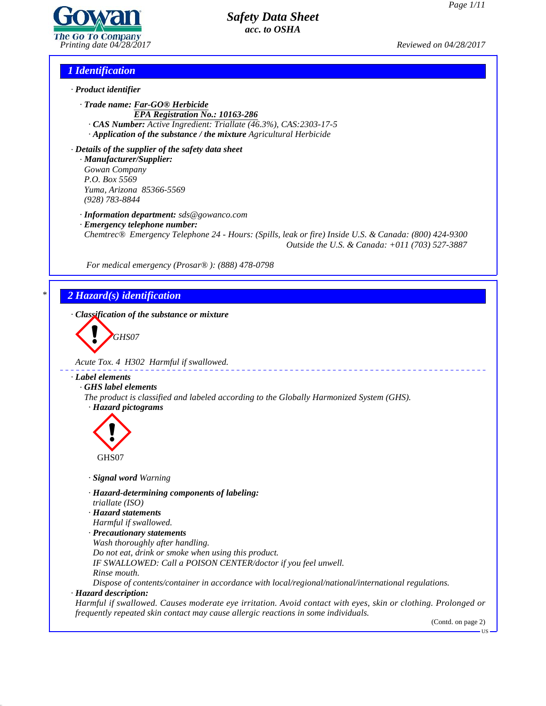

*Printing date 04/28/2017 Reviewed on 04/28/2017*

## *1 Identification*

- *· Product identifier*
	- *· Trade name: Far-GO® Herbicide EPA Registration No.: 10163-286*
	- *· CAS Number: Active Ingredient: Triallate (46.3%), CAS:2303-17-5 · Application of the substance / the mixture Agricultural Herbicide*

*· Details of the supplier of the safety data sheet · Manufacturer/Supplier: Gowan Company P.O. Box 5569 Yuma, Arizona 85366-5569 (928) 783-8844*

*· Information department: sds@gowanco.com*

*· Emergency telephone number:*

*Chemtrec® Emergency Telephone 24 - Hours: (Spills, leak or fire) Inside U.S. & Canada: (800) 424-9300 Outside the U.S. & Canada: +011 (703) 527-3887*

*For medical emergency (Prosar® ): (888) 478-0798*

# *\* 2 Hazard(s) identification*

*· Classification of the substance or mixture*



*Acute Tox. 4 H302 Harmful if swallowed.*

### *· Label elements*

*· GHS label elements*

*The product is classified and labeled according to the Globally Harmonized System (GHS). · Hazard pictograms*



*· Signal word Warning*

*· Hazard-determining components of labeling:*

*triallate (ISO)*

*· Hazard statements*

- *Harmful if swallowed.*
- *· Precautionary statements*
- *Wash thoroughly after handling.*

*Do not eat, drink or smoke when using this product.*

- *IF SWALLOWED: Call a POISON CENTER/doctor ifyou feel unwell.*
- *Rinse mouth.*

*Dispose of contents/container in accordance with local/regional/national/international regulations.*

*· Hazard description:*

44.2.1

*Harmful if swallowed. Causes moderate eye irritation. Avoid contact with eyes, skin or clothing. Prolonged or frequently repeated skin contact may cause allergic reactions in some individuals.*

(Contd. on page 2)

US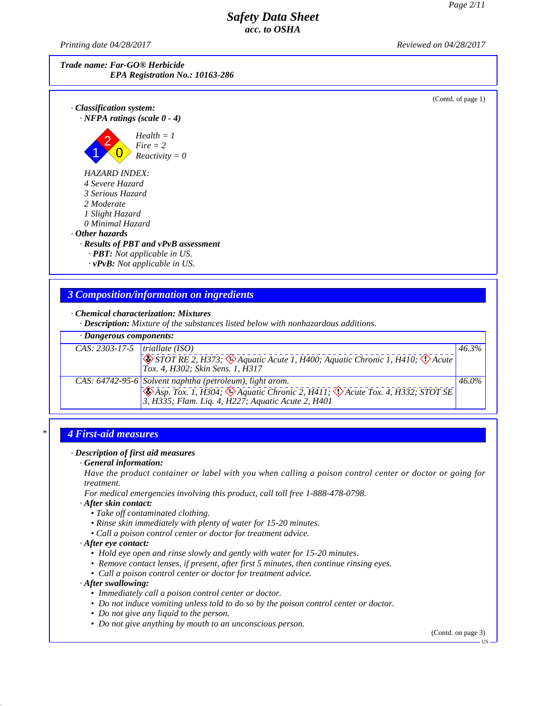*Printing date 04/28/2017 Reviewed on 04/28/2017*

| Trade name: Far-GO® Herbicide          |
|----------------------------------------|
| <b>EPA Registration No.: 10163-286</b> |



# *3 Composition/information on ingredients*

*· Chemical characterization: Mixtures*

*· Description: Mixture of the substances listed below with nonhazardous additions.*

| · Dangerous components:                      |                                                                                                                                                   |          |
|----------------------------------------------|---------------------------------------------------------------------------------------------------------------------------------------------------|----------|
| $\overline{CAS: 2303-17-5}$  triallate (ISO) | $\bigotimes$ STOT RE 2, H373; $\bigotimes$ Aquatic Acute 1, H400; Aquatic Chronic 1, H410; $\bigotimes$ Acute<br>Tox. 4, H302; Skin Sens. 1, H317 | 46.3%    |
|                                              | CAS: 64742-95-6 Solvent naphtha (petroleum), light arom.                                                                                          | $46.0\%$ |

## *\* 4 First-aid measures*

### *· Description of first aid measures*

#### *· General information:*

Have the product container or label with you when calling a poison control center or doctor or going for *treatment.*

*For medical emergencies involving this product, call toll free 1-888-478-0798.*

*· After skin contact:*

- *• Take of contaminated clothing.*
- *• Rinse skin immediately with plenty of water for 15-20 minutes.*
- *• Call a poison control center or doctor for treatment advice.*
- *· After eye contact:*
	- *• Hold eye open and rinse slowly and gently with water for 15-20 minutes.*
	- *• Remove contact lenses, if present, after first 5 minutes, then continue rinsing eyes.*
	- *• Call a poison control center or doctor for treatment advice.*

#### *· After swallowing:*

44.2.1

- *• Immediately call a poison control center or doctor.*
- *• Do not induce vomiting unless told to do so by the poison control center or doctor.*
- *• Do not give any liquid to the person.*
- *• Do not give anything by mouth to an unconscious person.*

(Contd. on page 3)

US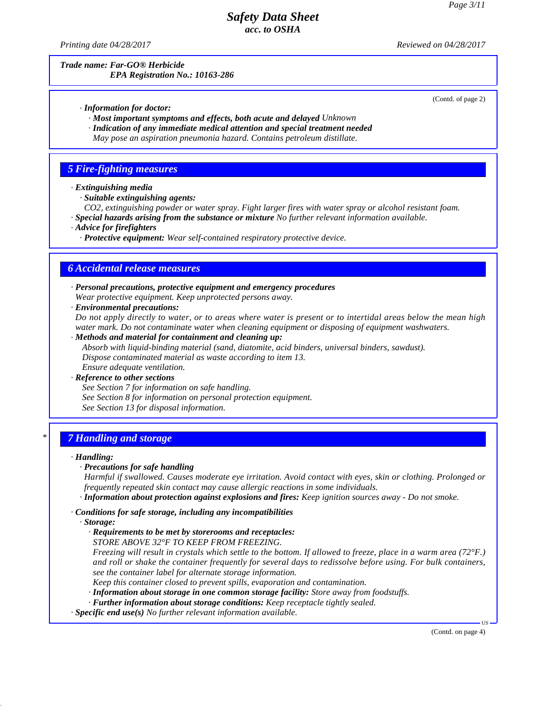*Printing date 04/28/2017 Reviewed on 04/28/2017*

*Trade name: Far-GO® Herbicide EPA Registration No.: 10163-286*

(Contd. of page 2)

*· Information for doctor:*

*· Most important symptoms and effects, both acute and delayed Unknown*

*· Indication of any immediate medical attention and special treatment needed*

*May pose an aspiration pneumonia hazard. Contains petroleum distillate.*

## *5 Fire-fighting measures*

*· Extinguishing media*

*· Suitable extinguishing agents:*

*CO2, extinguishing powder or water spray. Fight larger fires with water spray or alcohol resistant foam.*

*· Special hazards arising from the substance or mixture No further relevant information available.*

*· Advice for firefighters*

*· Protective equipment: Wear self-contained respiratory protective device.*

## *6 Accidental release measures*

*· Personal precautions, protective equipment and emergency procedures Wear protective equipment. Keep unprotected persons away.*

*· Environmental precautions:*

Do not apply directly to water, or to areas where water is present or to intertidal areas below the mean high *water mark. Do not contaminate water when cleaning equipment or disposing of equipment washwaters.*

*· Methods and material for containment and cleaning up:*

*Absorb with liquid-binding material (sand, diatomite, acid binders, universal binders, sawdust). Dispose contaminated material as waste according to item 13.*

#### *Ensure adequate ventilation. · Reference to other sections*

*See Section 7 for information on safe handling. See Section 8 for information on personal protection equipment. See Section 13 for disposal information.*

## *\* 7 Handling and storage*

### *· Handling:*

### *· Precautions for safe handling*

*Harmful if swallowed. Causes moderate eye irritation. Avoid contact with eyes, skin or clothing. Prolonged or frequently repeated skin contact may cause allergic reactions in some individuals.*

*· Information about protection against explosions and fires: Keep ignition sources away - Do not smoke.*

*· Conditions for safe storage, including any incompatibilities*

*· Storage:*

44.2.1

*· Requirements to be met by storerooms and receptacles:*

*STORE ABOVE 32°F TO KEEP FROM FREEZING.*

Freezing will result in crystals which settle to the bottom. If allowed to freeze, place in a warm area (72 $^{\circ}$ F.) and roll or shake the container frequently for several days to redissolve before using. For bulk containers, *see the container label for alternate storage information.*

*Keep this container closed to prevent spills, evaporation and contamination.*

*· Information about storage in one common storage facility: Store away from foodstuf s.*

*· Further information about storage conditions: Keep receptacle tightly sealed.*

*· Specific end use(s) No further relevant information available.*

(Contd. on page 4)

 $\overline{US}$   $\longrightarrow$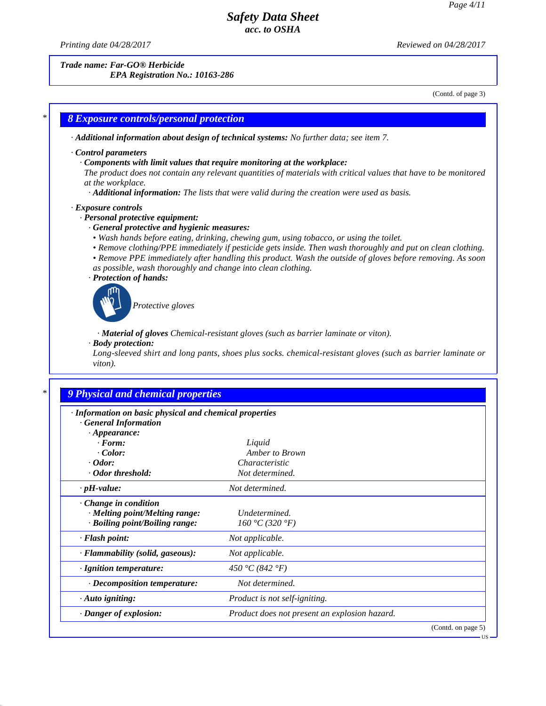*Printing date 04/28/2017 Reviewed on 04/28/2017*

44.2.1

*Trade name: Far-GO® Herbicide*

*EPA Registration No.: 10163-286*

(Contd. of page 3)

US

# *\* 8 Exposure controls/personal protection · Additional information about design of technical systems: No further data; see item 7. · Control parameters · Components with limit values that require monitoring at the workplace:* The product does not contain any relevant quantities of materials with critical values that have to be monitored *at the workplace. · Additional information: The lists that were valid during the creation were used as basis. · Exposure controls · Personal protective equipment: · General protective and hygienic measures: • Wash hands before eating, drinking, chewing gum, using tobacco, or using the toilet. • Remove clothing/PPE immediately if pesticide gets inside. Then wash thoroughly and put on clean clothing. • Remove PPE immediately after handling this product. Wash the outside of gloves before removing. As soon as possible, wash thoroughly and change into clean clothing. · Protection of hands: Protective gloves · Material of gloves Chemical-resistant gloves (such as barrier laminate or viton). · Body protection: Long-sleeved shirt and long pants, shoes plus socks. chemical-resistant gloves (such as barrier laminate or viton). \* 9 Physical and chemical properties · Information on basic physical and chemical properties*

| · Information on basic physical and chemical properties<br><b>General Information</b> |                                               |                    |
|---------------------------------------------------------------------------------------|-----------------------------------------------|--------------------|
| $\cdot$ Appearance:                                                                   |                                               |                    |
| $\cdot$ Form:                                                                         | Liquid                                        |                    |
| Color:                                                                                | Amber to Brown                                |                    |
| $\cdot$ Odor:                                                                         | Characteristic                                |                    |
| Odor threshold:                                                                       | Not determined.                               |                    |
| $\cdot$ pH-value:                                                                     | Not determined.                               |                    |
| $\cdot$ Change in condition                                                           |                                               |                    |
| · Melting point/Melting range:                                                        | Undetermined.                                 |                    |
| · Boiling point/Boiling range:                                                        | 160 °C (320 °F)                               |                    |
| · Flash point:                                                                        | Not applicable.                               |                    |
| · Flammability (solid, gaseous):                                                      | Not applicable.                               |                    |
| $\cdot$ Ignition temperature:                                                         | 450 °C (842 °F)                               |                    |
| · Decomposition temperature:                                                          | Not determined.                               |                    |
| $\cdot$ Auto igniting:                                                                | Product is not self-igniting.                 |                    |
| Danger of explosion:                                                                  | Product does not present an explosion hazard. |                    |
|                                                                                       |                                               | (Contd. on page 5) |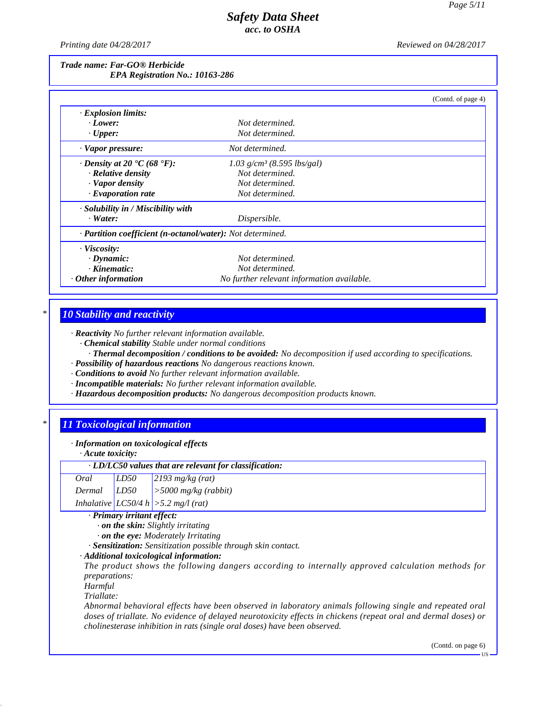*Printing date 04/28/2017 Reviewed on 04/28/2017*

#### *Trade name: Far-GO® Herbicide EPA Registration No.: 10163-286*

|                                                            |                                            | (Contd. of page 4) |
|------------------------------------------------------------|--------------------------------------------|--------------------|
| $\cdot$ Explosion limits:                                  |                                            |                    |
| $\cdot$ Lower:                                             | Not determined.                            |                    |
| $\cdot$ Upper:                                             | Not determined.                            |                    |
| $\cdot$ Vapor pressure:                                    | Not determined.                            |                    |
| $\cdot$ Density at 20 $\cdot$ C (68 $\cdot$ F):            | $1.03$ g/cm <sup>3</sup> (8.595 lbs/gal)   |                    |
| · Relative density                                         | Not determined.                            |                    |
| · Vapor density                                            | Not determined.                            |                    |
| $\cdot$ Evaporation rate                                   | Not determined.                            |                    |
| $\cdot$ Solubility in / Miscibility with                   |                                            |                    |
| $\cdot$ Water:                                             | Dispersible.                               |                    |
| · Partition coefficient (n-octanol/water): Not determined. |                                            |                    |
| · Viscosity:                                               |                                            |                    |
| $\cdot$ Dynamic:                                           | Not determined.                            |                    |
| $\cdot$ Kinematic:                                         | Not determined.                            |                    |
| $\cdot$ Other information                                  | No further relevant information available. |                    |

# *\* 10 Stability and reactivity*

*· Reactivity No further relevant information available.*

*· Chemical stability Stable under normal conditions*

*· Thermal decomposition / conditions to be avoided: No decomposition if used according to specifications.*

- *· Possibility of hazardous reactions No dangerous reactions known.*
- *· Conditions to avoid No further relevant information available.*
- *· Incompatible materials: No further relevant information available.*
- *· Hazardous decomposition products: No dangerous decomposition products known.*

## *\* 11 Toxicological information*

### *· Information on toxicological effects*

*· Acute toxicity:*

| · LD/LC50 values that are relevant for classification: |  |                                                                               |
|--------------------------------------------------------|--|-------------------------------------------------------------------------------|
| Oral                                                   |  | $LD50$ 2193 mg/kg (rat)                                                       |
|                                                        |  | Dermal $LD50$ > 5000 mg/kg (rabbit)<br>Inhalative $LC50/4 h$ > 5.2 mg/l (rat) |
|                                                        |  |                                                                               |

*· Primary irritant effect:*

*· on the skin: Slightly irritating*

*· on the eye: Moderately Irritating*

*· Sensitization: Sensitization possible through skin contact.*

*· Additional toxicological information:*

*The product shows the following dangers according to internally approved calculation methods for preparations:*

*Harmful*

*Triallate:*

44.2.1

*Abnormal behavioral effects have been observed in laboratory animals following single and repeated oral* doses of triallate. No evidence of delayed neurotoxicity effects in chickens (repeat oral and dermal doses) or *cholinesterase inhibition in rats (single oral doses) have been observed.*

(Contd. on page 6)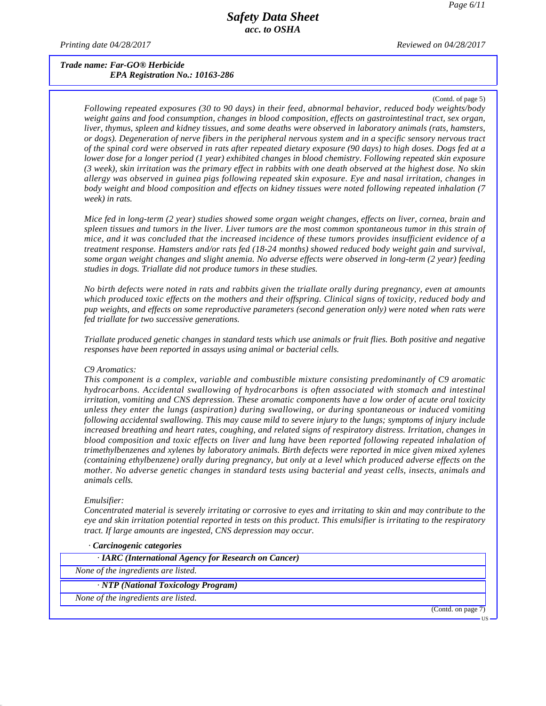*Printing date 04/28/2017 Reviewed on 04/28/2017*

### *Trade name: Far-GO® Herbicide EPA Registration No.: 10163-286*

(Contd. of page 5)

US

*Following repeated exposures (30 to 90 days) in their feed, abnormal behavior, reduced body weights/body weight gains and food consumption, changes in blood composition, ef ects on gastrointestinal tract, sex organ, liver, thymus, spleen and kidney tissues, and some deaths were observed in laboratory animals (rats, hamsters,* or dogs). Degeneration of nerve fibers in the peripheral nervous system and in a specific sensory nervous tract of the spinal cord were observed in rats after repeated dietary exposure (90 days) to high doses. Dogs fed at a lower dose for a longer period (1 year) exhibited changes in blood chemistry. Following repeated skin exposure (3 week), skin irritation was the primary effect in rabbits with one death observed at the highest dose. No skin *allergy was observed in guinea pigs following repeated skin exposure. Eye and nasal irritation, changes in body weight and blood composition and effects on kidney tissues were noted following repeated inhalation (7 week) in rats.*

Mice fed in long-term (2 year) studies showed some organ weight changes, effects on liver, cornea, brain and spleen tissues and tumors in the liver. Liver tumors are the most common spontaneous tumor in this strain of mice, and it was concluded that the increased incidence of these tumors provides insufficient evidence of a *treatment response. Hamsters and/or rats fed (18-24 months) showed reduced body weight gain and survival,* some organ weight changes and slight anemia. No adverse effects were observed in long-term (2 year) feeding *studies in dogs. Triallate did not produce tumors in these studies.*

No birth defects were noted in rats and rabbits given the triallate orally during pregnancy, even at amounts which produced toxic effects on the mothers and their offspring. Clinical signs of toxicity, reduced body and *pup weights, and effects on some reproductive parameters (second generation only) were noted when rats were fed triallate for two successive generations.*

Triallate produced genetic changes in standard tests which use animals or fruit flies. Both positive and negative *responses have been reported in assays using animal or bacterial cells.*

#### *C9 Aromatics:*

*This component is a complex, variable and combustible mixture consisting predominantly ofC9 aromatic hydrocarbons. Accidental swallowing of hydrocarbons is often associated with stomach and intestinal irritation, vomiting and CNS depression. These aromatic components have a low order of acute oral toxicity unless they enter the lungs (aspiration) during swallowing, or during spontaneous or induced vomiting* following accidental swallowing. This may cause mild to severe injury to the lungs; symptoms of injury include *increased breathing and heart rates, coughing, and related signs of respiratory distress. Irritation, changes in blood composition and toxic effects on liver and lung have been reported following repeated inhalation of trimethylbenzenes and xylenes by laboratory animals. Birth defects were reported in mice given mixed xylenes (containing ethylbenzene) orally during pregnancy, but only at a level which produced adverse effects on the mother. No adverse genetic changes in standard tests using bacterial and yeast cells, insects, animals and animals cells.*

#### *Emulsifier:*

44.2.1

Concentrated material is severely irritating or corrosive to eyes and irritating to skin and may contribute to the eye and skin irritation potential reported in tests on this product. This emulsifier is irritating to the respiratory *tract. If large amounts are ingested, CNS depression may occur.*

| Carcinogenic categories                              |                    |
|------------------------------------------------------|--------------------|
| · IARC (International Agency for Research on Cancer) |                    |
| None of the ingredients are listed.                  |                    |
| · NTP (National Toxicology Program)                  |                    |
| None of the ingredients are listed.                  |                    |
|                                                      | (Contd. on page 7) |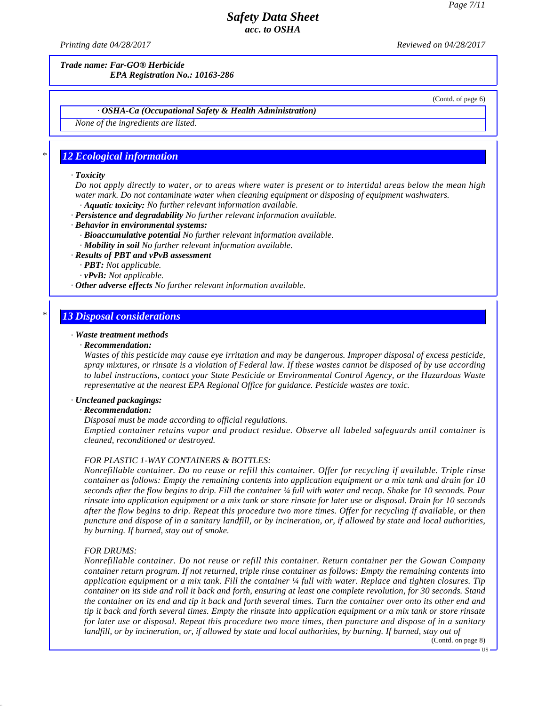*Printing date 04/28/2017 Reviewed on 04/28/2017*

*Trade name: Far-GO® Herbicide*

*EPA Registration No.: 10163-286*

(Contd. of page 6)

### *· OSHA-Ca (Occupational Safety & Health Administration)*

*None of the ingredients are listed.*

## *\* 12 Ecological information*

#### *· Toxicity*

Do not apply directly to water, or to areas where water is present or to intertidal areas below the mean high *water mark. Do not contaminate water when cleaning equipment or disposing of equipment washwaters. · Aquatic toxicity: No further relevant information available.*

*· Persistence and degradability No further relevant information available.*

*· Behavior in environmental systems:*

- *· Bioaccumulative potential No further relevant information available.*
- *· Mobility in soil No further relevant information available.*

*· Results of PBT and vPvB assessment*

- *· PBT: Not applicable.*
- *· vPvB: Not applicable.*

*· Other adverse effects No further relevant information available.*

## *\* 13 Disposal considerations*

#### *· Waste treatment methods*

#### *· Recommendation:*

Wastes of this pesticide may cause eye irritation and may be dangerous. Improper disposal of excess pesticide, spray mixtures, or rinsate is a violation of Federal law. If these wastes cannot be disposed of by use according *to label instructions, contact your State Pesticide or Environmental Control Agency, or the Hazardous Waste representative at the nearest EPA Regional Of ice for guidance. Pesticide wastes are toxic.*

### *· Uncleaned packagings:*

#### *· Recommendation:*

*Disposal must be made according to of icial regulations.*

*Emptied container retains vapor and product residue. Observe all labeled safeguards until container is cleaned, reconditioned or destroyed.*

#### *FOR PLASTIC 1-WAY CONTAINERS & BOTTLES:*

*Nonrefillable container. Do no reuse or refill this container. Offer for recycling if available. Triple rinse* container as follows: Empty the remaining contents into application equipment or a mix tank and drain for 10 seconds after the flow begins to drip. Fill the container 1/4 full with water and recap. Shake for 10 seconds. Pour rinsate into application equipment or a mix tank or store rinsate for later use or disposal. Drain for 10 seconds after the flow begins to drip. Repeat this procedure two more times. Offer for recycling if available, or then puncture and dispose of in a sanitary landfill, or by incineration, or, if allowed by state and local authorities, *by burning. If burned, stay out of smoke.*

#### *FOR DRUMS:*

44.2.1

*Nonrefillable container. Do notreuse or refill this container. Return container per the Gowan Company container return program. If not returned, triple rinse container as follows: Empty the remaining contents into* application equipment or a mix tank. Fill the container  $\frac{1}{4}$  full with water. Replace and tighten closures. Tip container on its side and roll it back and forth, ensuring at least one complete revolution, for 30 seconds. Stand the container on its end and tip it back and forth several times. Turn the container over onto its other end and tip it back and forth several times. Empty the rinsate into application equipment or a mix tank or store rinsate for later use or disposal. Repeat this procedure two more times, then puncture and dispose of in a sanitary landfill, or by incineration, or, if allowed by state and local authorities, by burning. If burned, stay out of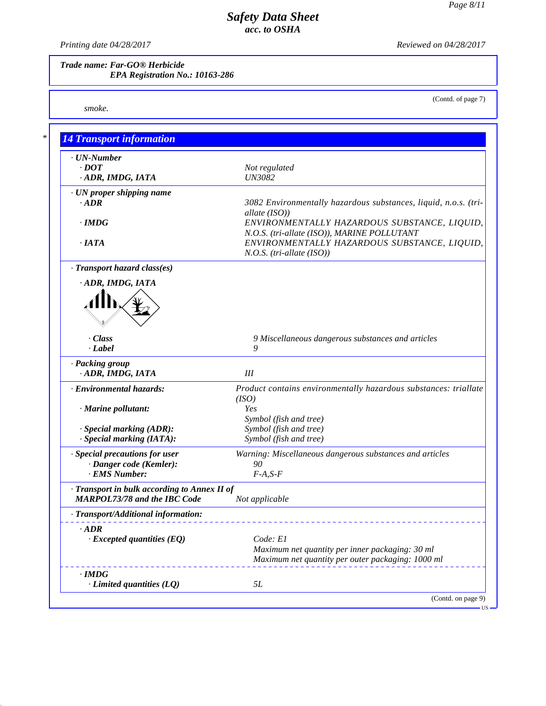(Contd. of page 7)

# *Safety Data Sheet acc. to OSHA*

*Printing date 04/28/2017 Reviewed on 04/28/2017*

*Trade name: Far-GO® Herbicide EPA Registration No.: 10163-286*

*smoke.*

44.2.1

| <b>14 Transport information</b>                                                   |                                                                                                                                  |
|-----------------------------------------------------------------------------------|----------------------------------------------------------------------------------------------------------------------------------|
| · UN-Number<br>$\cdot$ DOT<br>ADR, IMDG, IATA                                     | Not regulated<br><b>UN3082</b>                                                                                                   |
| · UN proper shipping name                                                         |                                                                                                                                  |
| $-ADR$<br>$\cdot$ IMDG                                                            | 3082 Environmentally hazardous substances, liquid, n.o.s. (tri-<br>allate (ISO))<br>ENVIRONMENTALLY HAZARDOUS SUBSTANCE, LIQUID, |
| $\cdot$ IATA                                                                      | N.O.S. (tri-allate (ISO)), MARINE POLLUTANT<br>ENVIRONMENTALLY HAZARDOUS SUBSTANCE, LIQUID,<br>$N.O.S.$ (tri-allate (ISO))       |
| · Transport hazard class(es)                                                      |                                                                                                                                  |
| ADR, IMDG, IATA                                                                   |                                                                                                                                  |
| Class<br>$-Label$                                                                 | 9 Miscellaneous dangerous substances and articles<br>9                                                                           |
| · Packing group<br>ADR, IMDG, IATA                                                | III                                                                                                                              |
| · Environmental hazards:                                                          | Product contains environmentally hazardous substances: triallate<br>(ISO)                                                        |
| · Marine pollutant:                                                               | Yes<br>Symbol (fish and tree)                                                                                                    |
| · Special marking (ADR):<br>· Special marking (IATA):                             | Symbol (fish and tree)<br>Symbol (fish and tree)                                                                                 |
| · Special precautions for user<br>· Danger code (Kemler):                         | Warning: Miscellaneous dangerous substances and articles<br>90                                                                   |
| · EMS Number:                                                                     | $F-A, S-F$                                                                                                                       |
| Transport in bulk according to Annex II of<br><b>MARPOL73/78 and the IBC Code</b> | Not applicable                                                                                                                   |
| · Transport/Additional information:                                               |                                                                                                                                  |
| $\cdot$ ADR<br>$\cdot$ Excepted quantities (EQ)                                   | Code: E1                                                                                                                         |
|                                                                                   | Maximum net quantity per inner packaging: 30 ml<br>Maximum net quantity per outer packaging: 1000 ml                             |
| $\cdot$ IMDG                                                                      |                                                                                                                                  |
| $\cdot$ Limited quantities (LQ)                                                   | 5L                                                                                                                               |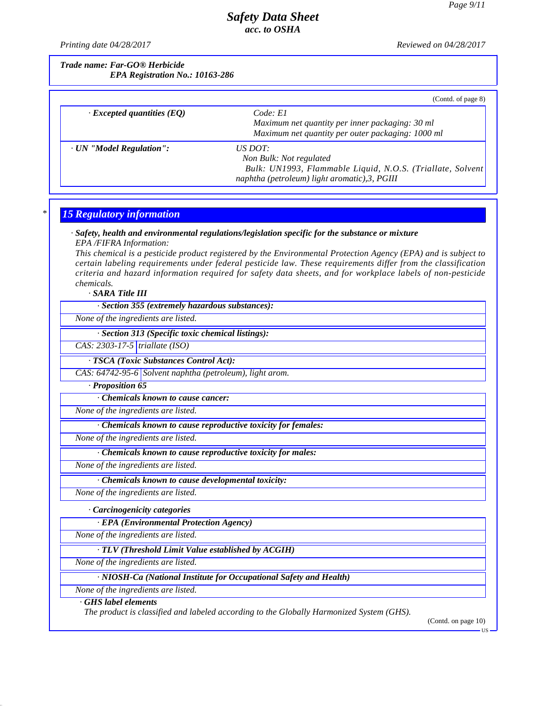*Printing date 04/28/2017 Reviewed on 04/28/2017*

*Trade name: Far-GO® Herbicide EPA Registration No.: 10163-286*

|                                  | (Contd. of page 8)                                          |
|----------------------------------|-------------------------------------------------------------|
| $\cdot$ Excepted quantities (EQ) | Code: El                                                    |
|                                  | Maximum net quantity per inner packaging: 30 ml             |
|                                  | Maximum net quantity per outer packaging: 1000 ml           |
| · UN "Model Regulation":         | <i>US DOT:</i>                                              |
|                                  | Non Bulk: Not regulated                                     |
|                                  | Bulk: UN1993, Flammable Liquid, N.O.S. (Triallate, Solvent) |
|                                  | naphtha (petroleum) light aromatic), 3, PGIII               |

## *\* 15 Regulatory information*

#### *· Safety, health and environmental regulations/legislation specific for the substance or mixture EPA /FIFRA Information:*

This chemical is a pesticide product registered by the Environmental Protection Agency (EPA) and is subject to *certain labeling requirements under federal pesticide law. These requirements differ from the classification criteria and hazard information required for safety data sheets, and for workplace labels of non-pesticide chemicals.*

*· SARA Title III*

*· Section 355 (extremely hazardous substances):*

*None of the ingredients are listed.*

*· Section 313 (Specific toxic chemical listings):*

*CAS: 2303-17-5 triallate (ISO)*

*· TSCA (Toxic Substances Control Act):*

*CAS: 64742-95-6 Solvent naphtha (petroleum), light arom.*

*· Proposition 65*

*· Chemicals known to cause cancer:*

*None of the ingredients are listed.*

*· Chemicals known to cause reproductive toxicity for females:*

*None of the ingredients are listed.*

*· Chemicals known to cause reproductive toxicity for males:*

*None of the ingredients are listed.*

*· Chemicals known to cause developmental toxicity:*

*None of the ingredients are listed.*

*· Carcinogenicity categories*

*· EPA (Environmental Protection Agency)*

*None of the ingredients are listed.*

*· TLV (Threshold Limit Value established by ACGIH)*

*None of the ingredients are listed.*

*· NIOSH-Ca (National Institute for Occupational Safety and Health)*

*None of the ingredients are listed.*

### *· GHS label elements*

44.2.1

*The product is classified and labeled according to the Globally Harmonized System (GHS).*

(Contd. on page 10)

US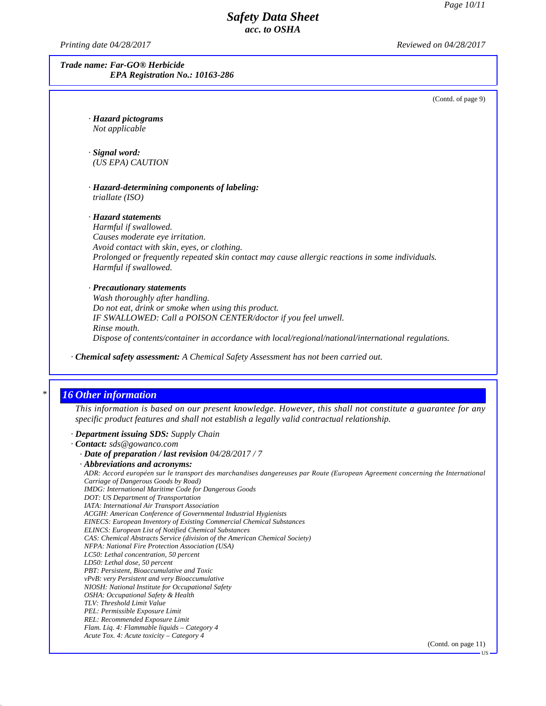*Printing date 04/28/2017 Reviewed on 04/28/2017*

*Trade name: Far-GO® Herbicide EPA Registration No.: 10163-286*

(Contd. of page 9)

*· Hazard pictograms Not applicable*

*· Signal word: (US EPA) CAUTION*

*· Hazard-determining components of labeling: triallate (ISO)*

*· Hazard statements Harmful if swallowed. Causes moderate eye irritation. Avoid contact with skin, eyes, or clothing. Prolonged or frequently repeated skin contact may cause allergic reactions in some individuals. Harmful if swallowed.*

# *· Precautionary statements*

*Wash thoroughly after handling. Do not eat, drink or smoke when using this product. IF SWALLOWED: Call a POISON CENTER/doctor ifyou feel unwell. Rinse mouth. Dispose of contents/container in accordance with local/regional/national/international regulations.*

*· Chemical safety assessment: A Chemical Safety Assessment has not been carried out.*

### *\* 16 Other information*

44.2.1

This information is based on our present knowledge. However, this shall not constitute a guarantee for any *specific product features and shall not establish a legally valid contractual relationship.*

#### *· Department issuing SDS: Supply Chain*

- *· Contact: sds@gowanco.com*
	- *· Date of preparation / last revision 04/28/2017 / 7 · Abbreviations and acronyms:* ADR: Accord européen sur le transport des marchandises dangereuses par Route (European Agreement concerning the International *Carriage of Dangerous Goods by Road) IMDG: International Maritime Code for Dangerous Goods DOT: US Department of Transportation IATA: International Air Transport Association ACGIH: American Conference of Governmental Industrial Hygienists EINECS: European Inventory of Existing Commercial Chemical Substances ELINCS: European List of Notified Chemical Substances CAS: Chemical Abstracts Service (division of the American Chemical Society) NFPA: National Fire Protection Association (USA) LC50: Lethal concentration, 50 percent LD50: Lethal dose, 50 percent PBT: Persistent, Bioaccumulative and Toxic vPvB: very Persistent and very Bioaccumulative NIOSH: National Institute for Occupational Safety OSHA: Occupational Safety & Health TLV: Threshold Limit Value PEL: Permissible Exposure Limit REL: Recommended Exposure Limit Flam. Liq. 4: Flammable liquids – Category 4 Acute Tox. 4: Acute toxicity – Category 4*

(Contd. on page 11)

US